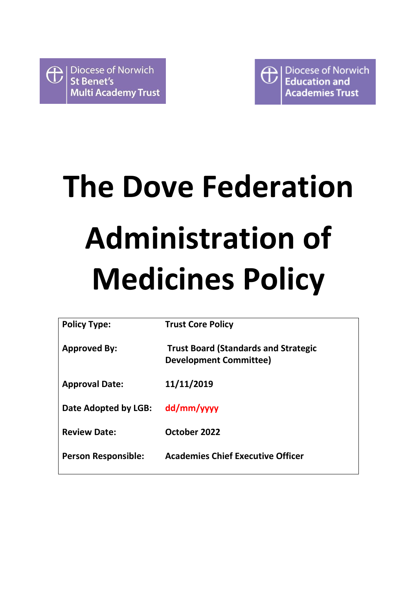

**Diocese of Norwich**  $\bigoplus$ **Education and Academies Trust** 

# **The Dove Federation Administration of Medicines Policy**

| <b>Policy Type:</b>        | <b>Trust Core Policy</b>                                                     |
|----------------------------|------------------------------------------------------------------------------|
| <b>Approved By:</b>        | <b>Trust Board (Standards and Strategic</b><br><b>Development Committee)</b> |
| <b>Approval Date:</b>      | 11/11/2019                                                                   |
| Date Adopted by LGB:       | dd/mm/yyyy                                                                   |
| <b>Review Date:</b>        | October 2022                                                                 |
| <b>Person Responsible:</b> | <b>Academies Chief Executive Officer</b>                                     |
|                            |                                                                              |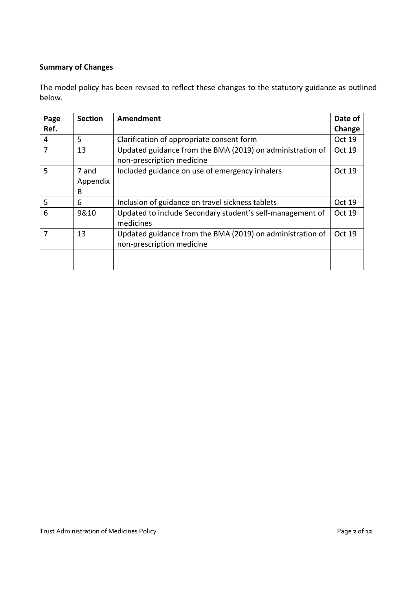## **Summary of Changes**

The model policy has been revised to reflect these changes to the statutory guidance as outlined below.

| Page<br>Ref. | <b>Section</b>         | Amendment                                                                              | Date of<br>Change |
|--------------|------------------------|----------------------------------------------------------------------------------------|-------------------|
| 4            | 5                      | Clarification of appropriate consent form                                              | Oct 19            |
| 7            | 13                     | Updated guidance from the BMA (2019) on administration of<br>non-prescription medicine | Oct 19            |
| 5            | 7 and<br>Appendix<br>B | Included guidance on use of emergency inhalers                                         | Oct 19            |
| 5            | 6                      | Inclusion of guidance on travel sickness tablets                                       | Oct 19            |
| 6            | 9&10                   | Updated to include Secondary student's self-management of<br>medicines                 | Oct 19            |
|              | 13                     | Updated guidance from the BMA (2019) on administration of<br>non-prescription medicine | Oct 19            |
|              |                        |                                                                                        |                   |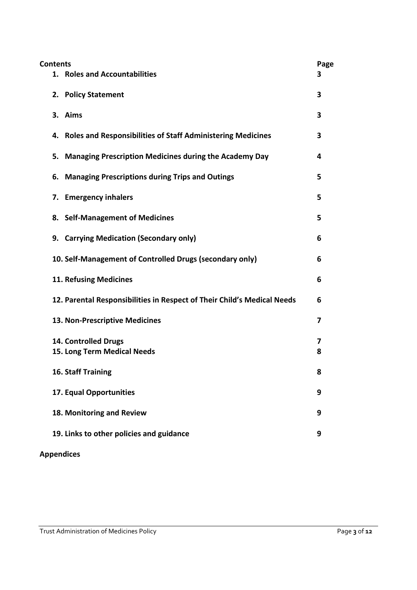| <b>Contents</b> |                                                                         | Page |
|-----------------|-------------------------------------------------------------------------|------|
|                 | 1. Roles and Accountabilities                                           | 3    |
|                 | 2. Policy Statement                                                     | 3    |
|                 | 3. Aims                                                                 | 3    |
|                 | 4. Roles and Responsibilities of Staff Administering Medicines          | 3    |
| 5.              | <b>Managing Prescription Medicines during the Academy Day</b>           | 4    |
| 6.              | <b>Managing Prescriptions during Trips and Outings</b>                  | 5    |
| 7.              | <b>Emergency inhalers</b>                                               | 5    |
|                 | 8. Self-Management of Medicines                                         | 5    |
|                 | 9. Carrying Medication (Secondary only)                                 | 6    |
|                 | 10. Self-Management of Controlled Drugs (secondary only)                | 6    |
|                 | <b>11. Refusing Medicines</b>                                           | 6    |
|                 | 12. Parental Responsibilities in Respect of Their Child's Medical Needs | 6    |
|                 | 13. Non-Prescriptive Medicines                                          | 7    |
|                 | 14. Controlled Drugs                                                    | 7    |
|                 | 15. Long Term Medical Needs                                             | 8    |
|                 | 16. Staff Training                                                      | 8    |
|                 | 17. Equal Opportunities                                                 | 9    |
|                 | 18. Monitoring and Review                                               | 9    |
|                 | 19. Links to other policies and guidance                                | 9    |
|                 |                                                                         |      |

# **Appendices**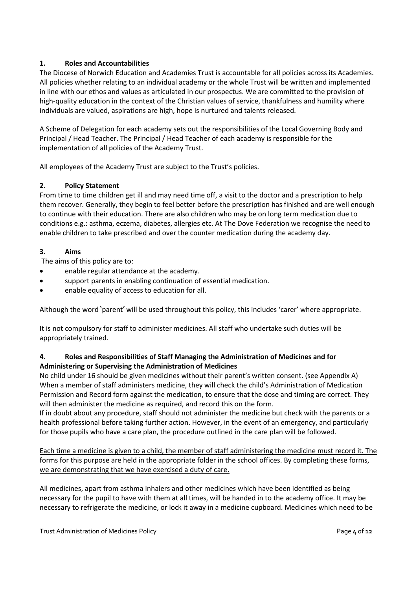#### **1. Roles and Accountabilities**

The Diocese of Norwich Education and Academies Trust is accountable for all policies across its Academies. All policies whether relating to an individual academy or the whole Trust will be written and implemented in line with our ethos and values as articulated in our prospectus. We are committed to the provision of high-quality education in the context of the Christian values of service, thankfulness and humility where individuals are valued, aspirations are high, hope is nurtured and talents released.

A Scheme of Delegation for each academy sets out the responsibilities of the Local Governing Body and Principal / Head Teacher. The Principal / Head Teacher of each academy is responsible for the implementation of all policies of the Academy Trust.

All employees of the Academy Trust are subject to the Trust's policies.

#### **2. Policy Statement**

From time to time children get ill and may need time off, a visit to the doctor and a prescription to help them recover. Generally, they begin to feel better before the prescription has finished and are well enough to continue with their education. There are also children who may be on long term medication due to conditions e.g.: asthma, eczema, diabetes, allergies etc. At The Dove Federation we recognise the need to enable children to take prescribed and over the counter medication during the academy day.

#### **3. Aims**

The aims of this policy are to:

- enable regular attendance at the academy.
- support parents in enabling continuation of essential medication.
- enable equality of access to education for all.

Although the word 'parent' will be used throughout this policy, this includes 'carer' where appropriate.

It is not compulsory for staff to administer medicines. All staff who undertake such duties will be appropriately trained.

#### **4. Roles and Responsibilities of Staff Managing the Administration of Medicines and for Administering or Supervising the Administration of Medicines**

No child under 16 should be given medicines without their parent's written consent. (see Appendix A) When a member of staff administers medicine, they will check the child's Administration of Medication Permission and Record form against the medication, to ensure that the dose and timing are correct. They will then administer the medicine as required, and record this on the form.

If in doubt about any procedure, staff should not administer the medicine but check with the parents or a health professional before taking further action. However, in the event of an emergency, and particularly for those pupils who have a care plan, the procedure outlined in the care plan will be followed.

Each time a medicine is given to a child, the member of staff administering the medicine must record it. The forms for this purpose are held in the appropriate folder in the school offices. By completing these forms, we are demonstrating that we have exercised a duty of care.

All medicines, apart from asthma inhalers and other medicines which have been identified as being necessary for the pupil to have with them at all times, will be handed in to the academy office. It may be necessary to refrigerate the medicine, or lock it away in a medicine cupboard. Medicines which need to be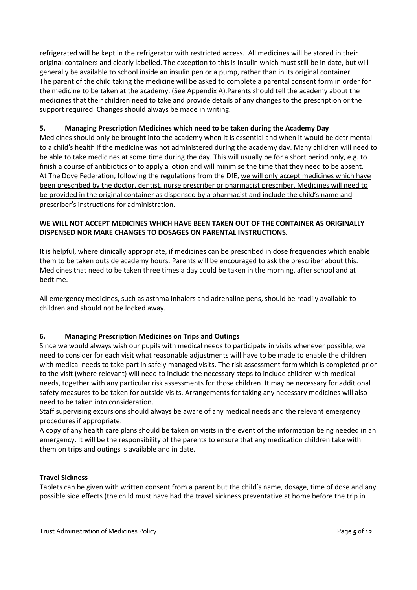refrigerated will be kept in the refrigerator with restricted access. All medicines will be stored in their original containers and clearly labelled. The exception to this is insulin which must still be in date, but will generally be available to school inside an insulin pen or a pump, rather than in its original container. The parent of the child taking the medicine will be asked to complete a parental consent form in order for the medicine to be taken at the academy. (See Appendix A).Parents should tell the academy about the medicines that their children need to take and provide details of any changes to the prescription or the support required. Changes should always be made in writing.

#### **5. Managing Prescription Medicines which need to be taken during the Academy Day**

Medicines should only be brought into the academy when it is essential and when it would be detrimental to a child's health if the medicine was not administered during the academy day. Many children will need to be able to take medicines at some time during the day. This will usually be for a short period only, e.g. to finish a course of antibiotics or to apply a lotion and will minimise the time that they need to be absent. At The Dove Federation, following the regulations from the DfE, we will only accept medicines which have been prescribed by the doctor, dentist, nurse prescriber or pharmacist prescriber. Medicines will need to be provided in the original container as dispensed by a pharmacist and include the child's name and prescriber's instructions for administration.

#### **WE WILL NOT ACCEPT MEDICINES WHICH HAVE BEEN TAKEN OUT OF THE CONTAINER AS ORIGINALLY DISPENSED NOR MAKE CHANGES TO DOSAGES ON PARENTAL INSTRUCTIONS.**

It is helpful, where clinically appropriate, if medicines can be prescribed in dose frequencies which enable them to be taken outside academy hours. Parents will be encouraged to ask the prescriber about this. Medicines that need to be taken three times a day could be taken in the morning, after school and at bedtime.

All emergency medicines, such as asthma inhalers and adrenaline pens, should be readily available to children and should not be locked away.

#### **6. Managing Prescription Medicines on Trips and Outings**

Since we would always wish our pupils with medical needs to participate in visits whenever possible, we need to consider for each visit what reasonable adjustments will have to be made to enable the children with medical needs to take part in safely managed visits. The risk assessment form which is completed prior to the visit (where relevant) will need to include the necessary steps to include children with medical needs, together with any particular risk assessments for those children. It may be necessary for additional safety measures to be taken for outside visits. Arrangements for taking any necessary medicines will also need to be taken into consideration.

Staff supervising excursions should always be aware of any medical needs and the relevant emergency procedures if appropriate.

A copy of any health care plans should be taken on visits in the event of the information being needed in an emergency. It will be the responsibility of the parents to ensure that any medication children take with them on trips and outings is available and in date.

#### **Travel Sickness**

Tablets can be given with written consent from a parent but the child's name, dosage, time of dose and any possible side effects (the child must have had the travel sickness preventative at home before the trip in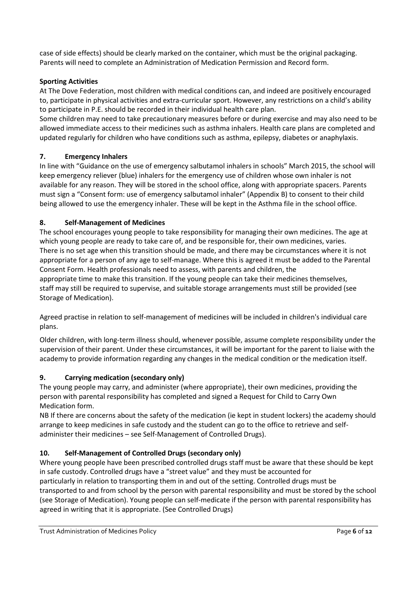case of side effects) should be clearly marked on the container, which must be the original packaging. Parents will need to complete an Administration of Medication Permission and Record form.

#### **Sporting Activities**

At The Dove Federation, most children with medical conditions can, and indeed are positively encouraged to, participate in physical activities and extra-curricular sport. However, any restrictions on a child's ability to participate in P.E. should be recorded in their individual health care plan.

Some children may need to take precautionary measures before or during exercise and may also need to be allowed immediate access to their medicines such as asthma inhalers. Health care plans are completed and updated regularly for children who have conditions such as asthma, epilepsy, diabetes or anaphylaxis.

#### **7. Emergency Inhalers**

In line with "Guidance on the use of emergency salbutamol inhalers in schools" March 2015, the school will keep emergency reliever (blue) inhalers for the emergency use of children whose own inhaler is not available for any reason. They will be stored in the school office, along with appropriate spacers. Parents must sign a "Consent form: use of emergency salbutamol inhaler" (Appendix B) to consent to their child being allowed to use the emergency inhaler. These will be kept in the Asthma file in the school office.

#### **8. Self-Management of Medicines**

The school encourages young people to take responsibility for managing their own medicines. The age at which young people are ready to take care of, and be responsible for, their own medicines, varies. There is no set age when this transition should be made, and there may be circumstances where it is not appropriate for a person of any age to self-manage. Where this is agreed it must be added to the Parental Consent Form. Health professionals need to assess, with parents and children, the appropriate time to make this transition. If the young people can take their medicines themselves, staff may still be required to supervise, and suitable storage arrangements must still be provided (see Storage of Medication).

Agreed practise in relation to self-management of medicines will be included in children's individual care plans.

Older children, with long-term illness should, whenever possible, assume complete responsibility under the supervision of their parent. Under these circumstances, it will be important for the parent to liaise with the academy to provide information regarding any changes in the medical condition or the medication itself.

#### **9. Carrying medication (secondary only)**

The young people may carry, and administer (where appropriate), their own medicines, providing the person with parental responsibility has completed and signed a Request for Child to Carry Own Medication form.

NB If there are concerns about the safety of the medication (ie kept in student lockers) the academy should arrange to keep medicines in safe custody and the student can go to the office to retrieve and selfadminister their medicines – see Self-Management of Controlled Drugs).

#### **10. Self-Management of Controlled Drugs (secondary only)**

Where young people have been prescribed controlled drugs staff must be aware that these should be kept in safe custody. Controlled drugs have a "street value" and they must be accounted for particularly in relation to transporting them in and out of the setting. Controlled drugs must be transported to and from school by the person with parental responsibility and must be stored by the school (see Storage of Medication). Young people can self-medicate if the person with parental responsibility has agreed in writing that it is appropriate. (See Controlled Drugs)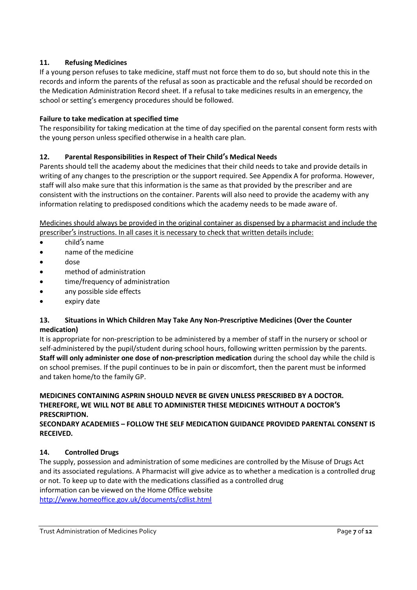#### **11. Refusing Medicines**

If a young person refuses to take medicine, staff must not force them to do so, but should note this in the records and inform the parents of the refusal as soon as practicable and the refusal should be recorded on the Medication Administration Record sheet. If a refusal to take medicines results in an emergency, the school or setting's emergency procedures should be followed.

#### **Failure to take medication at specified time**

The responsibility for taking medication at the time of day specified on the parental consent form rests with the young person unless specified otherwise in a health care plan.

#### **12. Parental Responsibilities in Respect of Their Child's Medical Needs**

Parents should tell the academy about the medicines that their child needs to take and provide details in writing of any changes to the prescription or the support required. See Appendix A for proforma. However, staff will also make sure that this information is the same as that provided by the prescriber and are consistent with the instructions on the container. Parents will also need to provide the academy with any information relating to predisposed conditions which the academy needs to be made aware of.

Medicines should always be provided in the original container as dispensed by a pharmacist and include the prescriber's instructions. In all cases it is necessary to check that written details include:

- child's name
- name of the medicine
- dose
- method of administration
- time/frequency of administration
- any possible side effects
- expiry date

#### **13. Situations in Which Children May Take Any Non-Prescriptive Medicines (Over the Counter medication)**

It is appropriate for non-prescription to be administered by a member of staff in the nursery or school or self-administered by the pupil/student during school hours, following written permission by the parents. **Staff will only administer one dose of non-prescription medication** during the school day while the child is on school premises. If the pupil continues to be in pain or discomfort, then the parent must be informed and taken home/to the family GP.

#### **MEDICINES CONTAINING ASPRIN SHOULD NEVER BE GIVEN UNLESS PRESCRIBED BY A DOCTOR. THEREFORE, WE WILL NOT BE ABLE TO ADMINISTER THESE MEDICINES WITHOUT A DOCTOR'S PRESCRIPTION.**

**SECONDARY ACADEMIES – FOLLOW THE SELF MEDICATION GUIDANCE PROVIDED PARENTAL CONSENT IS RECEIVED.**

#### **14. Controlled Drugs**

The supply, possession and administration of some medicines are controlled by the Misuse of Drugs Act and its associated regulations. A Pharmacist will give advice as to whether a medication is a controlled drug or not. To keep up to date with the medications classified as a controlled drug information can be viewed on the Home Office website <http://www.homeoffice.gov.uk/documents/cdlist.html>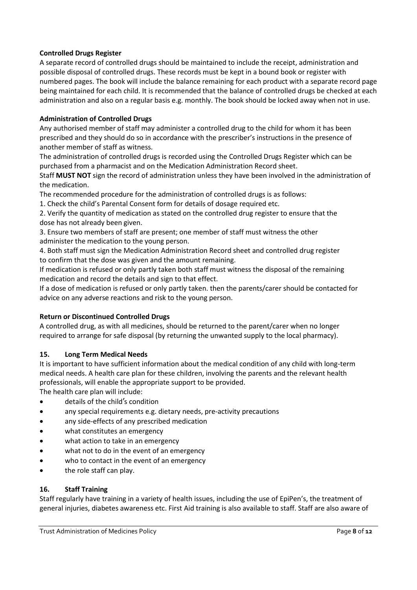#### **Controlled Drugs Register**

A separate record of controlled drugs should be maintained to include the receipt, administration and possible disposal of controlled drugs. These records must be kept in a bound book or register with numbered pages. The book will include the balance remaining for each product with a separate record page being maintained for each child. It is recommended that the balance of controlled drugs be checked at each administration and also on a regular basis e.g. monthly. The book should be locked away when not in use.

#### **Administration of Controlled Drugs**

Any authorised member of staff may administer a controlled drug to the child for whom it has been prescribed and they should do so in accordance with the prescriber's instructions in the presence of another member of staff as witness.

The administration of controlled drugs is recorded using the Controlled Drugs Register which can be purchased from a pharmacist and on the Medication Administration Record sheet.

Staff **MUST NOT** sign the record of administration unless they have been involved in the administration of the medication.

The recommended procedure for the administration of controlled drugs is as follows:

1. Check the child's Parental Consent form for details of dosage required etc.

2. Verify the quantity of medication as stated on the controlled drug register to ensure that the dose has not already been given.

3. Ensure two members of staff are present; one member of staff must witness the other administer the medication to the young person.

4. Both staff must sign the Medication Administration Record sheet and controlled drug register to confirm that the dose was given and the amount remaining.

If medication is refused or only partly taken both staff must witness the disposal of the remaining medication and record the details and sign to that effect.

If a dose of medication is refused or only partly taken. then the parents/carer should be contacted for advice on any adverse reactions and risk to the young person.

#### **Return or Discontinued Controlled Drugs**

A controlled drug, as with all medicines, should be returned to the parent/carer when no longer required to arrange for safe disposal (by returning the unwanted supply to the local pharmacy).

#### **15. Long Term Medical Needs**

It is important to have sufficient information about the medical condition of any child with long-term medical needs. A health care plan for these children, involving the parents and the relevant health professionals, will enable the appropriate support to be provided.

The health care plan will include:

- details of the child's condition
- any special requirements e.g. dietary needs, pre-activity precautions
- any side-effects of any prescribed medication
- what constitutes an emergency
- what action to take in an emergency
- what not to do in the event of an emergency
- who to contact in the event of an emergency
- the role staff can play.

#### **16. Staff Training**

Staff regularly have training in a variety of health issues, including the use of EpiPen's, the treatment of general injuries, diabetes awareness etc. First Aid training is also available to staff. Staff are also aware of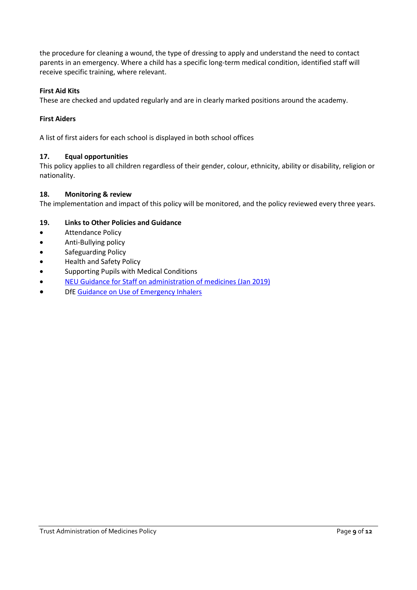the procedure for cleaning a wound, the type of dressing to apply and understand the need to contact parents in an emergency. Where a child has a specific long-term medical condition, identified staff will receive specific training, where relevant.

#### **First Aid Kits**

These are checked and updated regularly and are in clearly marked positions around the academy.

#### **First Aiders**

A list of first aiders for each school is displayed in both school offices

#### **17. Equal opportunities**

This policy applies to all children regardless of their gender, colour, ethnicity, ability or disability, religion or nationality.

#### **18. Monitoring & review**

The implementation and impact of this policy will be monitored, and the policy reviewed every three years.

#### **19. Links to Other Policies and Guidance**

- **•** Attendance Policy
- Anti-Bullying policy
- **•** Safeguarding Policy
- Health and Safety Policy
- Supporting Pupils with Medical Conditions
- [NEU Guidance for Staff on administration of medicines \(Jan 2019\)](https://neu.org.uk/advice/administering-medicines)
- DfE [Guidance on Use of Emergency Inhalers](https://assets.publishing.service.gov.uk/government/uploads/system/uploads/attachment_data/file/416468/emergency_inhalers_in_schools.pdf)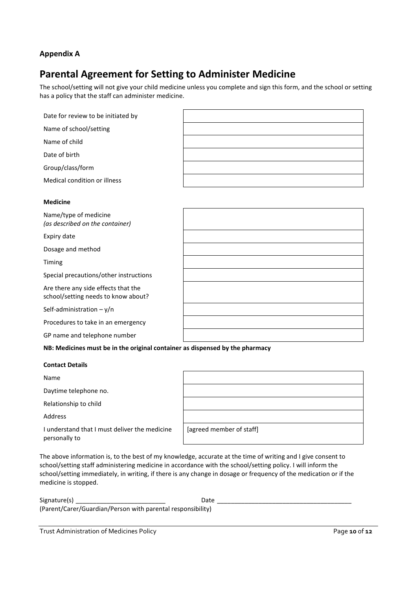#### **Appendix A**

## **Parental Agreement for Setting to Administer Medicine**

The school/setting will not give your child medicine unless you complete and sign this form, and the school or setting has a policy that the staff can administer medicine.

| Date for review to be initiated by |  |
|------------------------------------|--|
| Name of school/setting             |  |
| Name of child                      |  |
| Date of birth                      |  |
| Group/class/form                   |  |
| Medical condition or illness       |  |

#### **Medicine**

| Name/type of medicine<br>(as described on the container)                   |  |
|----------------------------------------------------------------------------|--|
| Expiry date                                                                |  |
| Dosage and method                                                          |  |
| Timing                                                                     |  |
| Special precautions/other instructions                                     |  |
| Are there any side effects that the<br>school/setting needs to know about? |  |
| Self-administration $-y/n$                                                 |  |
| Procedures to take in an emergency                                         |  |
| GP name and telephone number                                               |  |

**NB: Medicines must be in the original container as dispensed by the pharmacy**

#### **Contact Details**

Name

Daytime telephone no.

Relationship to child

Address

I understand that I must deliver the medicine personally to

| [agreed member of staff] |  |  |
|--------------------------|--|--|

The above information is, to the best of my knowledge, accurate at the time of writing and I give consent to school/setting staff administering medicine in accordance with the school/setting policy. I will inform the school/setting immediately, in writing, if there is any change in dosage or frequency of the medication or if the medicine is stopped.

| Signature(s)                                                | Date |
|-------------------------------------------------------------|------|
| (Parent/Carer/Guardian/Person with parental responsibility) |      |

Trust Administration of Medicines Policy Page **10** of **12**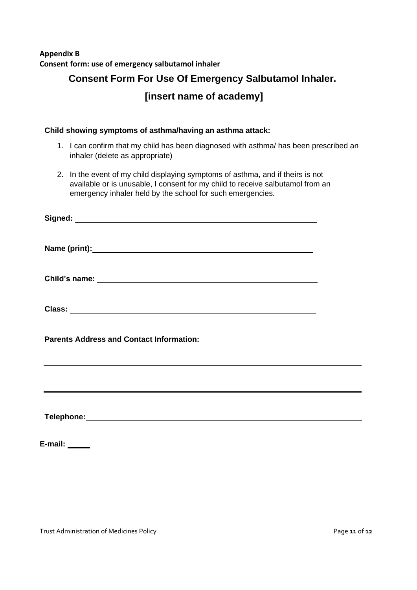## **Appendix B Consent form: use of emergency salbutamol inhaler**

# **Consent Form For Use Of Emergency Salbutamol Inhaler.**

**[insert name of academy]**

### **Child showing symptoms of asthma/having an asthma attack:**

- 1. I can confirm that my child has been diagnosed with asthma/ has been prescribed an inhaler (delete as appropriate)
- 2. In the event of my child displaying symptoms of asthma, and if theirs is not available or is unusable, I consent for my child to receive salbutamol from an emergency inhaler held by the school for such emergencies.

**Name (print): Child's name: Class:**

**Signed:**

**Parents Address and Contact Information:**

**Telephone:**

**E-mail:**